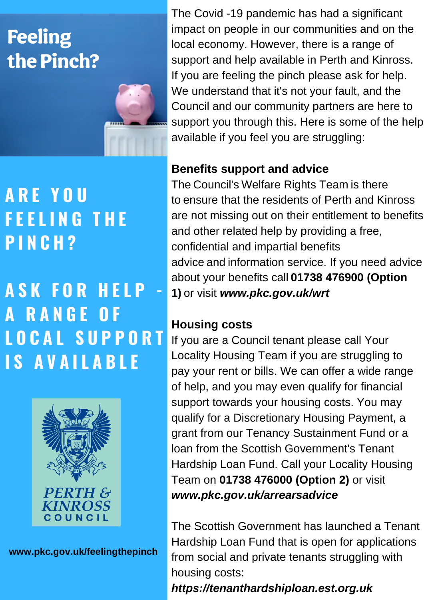# **Feeling** the Pinch?

### **A R E Y O U F E E L I N G T H E P I N C H ?**

## **A S K F O R H E L P - A R A N G E O F L O C A L S U P P O R T I S A V A I L A B L E**



**www.pkc.gov.uk/feelingthepinch**

The Covid -19 pandemic has had a significant impact on people in our communities and on the local economy. However, there is a range of support and help available in Perth and Kinross. If you are feeling the pinch please ask for help. We understand that it's not your fault, and the Council and our community partners are here to support you through this. Here is some of the help available if you feel you are struggling:

### **Benefits support and advice**

The Council's Welfare Rights Team is there to ensure that the residents of Perth and Kinross are not missing out on their entitlement to benefits and other related help by providing a free, confidential and impartial benefits advice and information service. If you need advice about your benefits call **01738 476900 (Option 1)** or visit *www.pkc.gov.uk/wrt*

### **Housing costs**

If you are a Council tenant please call Your Locality Housing Team if you are struggling to pay your rent or bills. We can offer a wide range of help, and you may even qualify for financial support towards your housing costs. You may qualify for a Discretionary Housing Payment, a grant from our Tenancy Sustainment Fund or a loan from the Scottish Government's Tenant Hardship Loan Fund. Call your Locality Housing Team on **01738 476000 (Option 2)** or visit *www.pkc.gov.uk/arrearsadvice*

The Scottish Government has launched a Tenant Hardship Loan Fund that is open for applications from social and private tenants struggling with housing costs:

*https://tenanthardshiploan.est.org.uk*